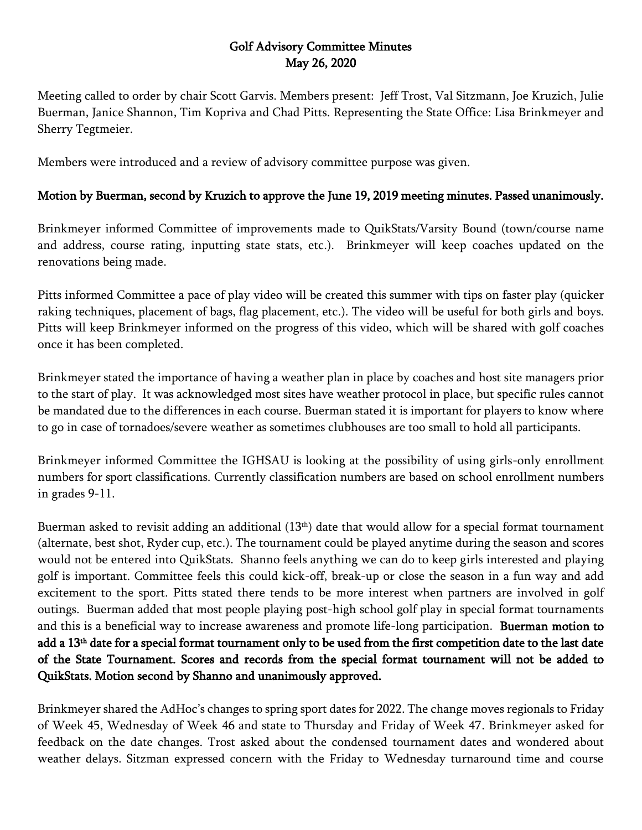## Golf Advisory Committee Minutes May 26, 2020

Meeting called to order by chair Scott Garvis. Members present: Jeff Trost, Val Sitzmann, Joe Kruzich, Julie Buerman, Janice Shannon, Tim Kopriva and Chad Pitts. Representing the State Office: Lisa Brinkmeyer and Sherry Tegtmeier.

Members were introduced and a review of advisory committee purpose was given.

## Motion by Buerman, second by Kruzich to approve the June 19, 2019 meeting minutes. Passed unanimously.

Brinkmeyer informed Committee of improvements made to QuikStats/Varsity Bound (town/course name and address, course rating, inputting state stats, etc.). Brinkmeyer will keep coaches updated on the renovations being made.

Pitts informed Committee a pace of play video will be created this summer with tips on faster play (quicker raking techniques, placement of bags, flag placement, etc.). The video will be useful for both girls and boys. Pitts will keep Brinkmeyer informed on the progress of this video, which will be shared with golf coaches once it has been completed.

Brinkmeyer stated the importance of having a weather plan in place by coaches and host site managers prior to the start of play. It was acknowledged most sites have weather protocol in place, but specific rules cannot be mandated due to the differences in each course. Buerman stated it is important for players to know where to go in case of tornadoes/severe weather as sometimes clubhouses are too small to hold all participants.

Brinkmeyer informed Committee the IGHSAU is looking at the possibility of using girls-only enrollment numbers for sport classifications. Currently classification numbers are based on school enrollment numbers in grades 9-11.

Buerman asked to revisit adding an additional (13<sup>th</sup>) date that would allow for a special format tournament (alternate, best shot, Ryder cup, etc.). The tournament could be played anytime during the season and scores would not be entered into QuikStats. Shanno feels anything we can do to keep girls interested and playing golf is important. Committee feels this could kick-off, break-up or close the season in a fun way and add excitement to the sport. Pitts stated there tends to be more interest when partners are involved in golf outings. Buerman added that most people playing post-high school golf play in special format tournaments and this is a beneficial way to increase awareness and promote life-long participation. Buerman motion to add a 13th date for a special format tournament only to be used from the first competition date to the last date of the State Tournament. Scores and records from the special format tournament will not be added to QuikStats. Motion second by Shanno and unanimously approved.

Brinkmeyer shared the AdHoc's changes to spring sport dates for 2022. The change moves regionals to Friday of Week 45, Wednesday of Week 46 and state to Thursday and Friday of Week 47. Brinkmeyer asked for feedback on the date changes. Trost asked about the condensed tournament dates and wondered about weather delays. Sitzman expressed concern with the Friday to Wednesday turnaround time and course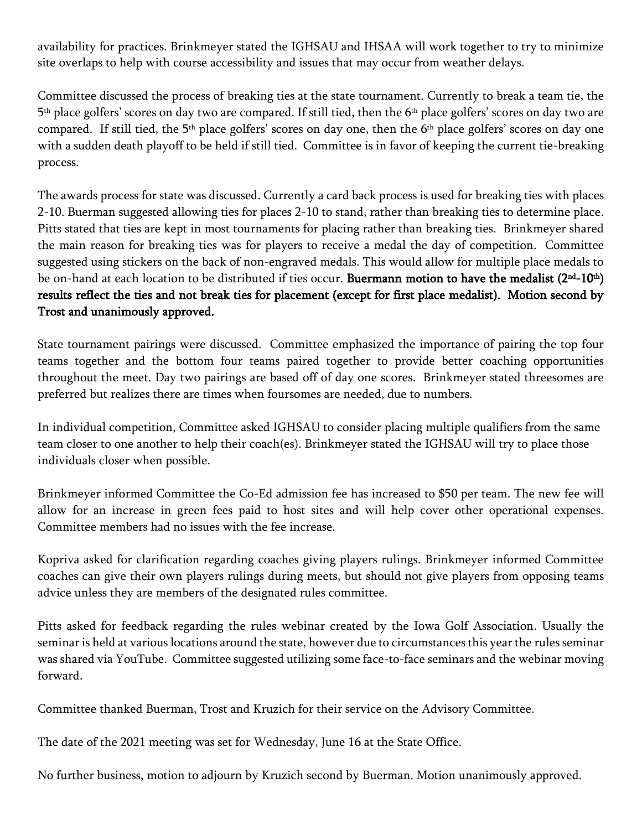availability for practices. Brinkmeyer stated the IGHSAU and IHSAA will work together to try to minimize site overlaps to help with course accessibility and issues that may occur from weather delays.

Committee discussed the process of breaking ties at the state tournament. Currently to break a team tie, the 5 th place golfers' scores on day two are compared. If still tied, then the 6th place golfers' scores on day two are compared. If still tied, the 5<sup>th</sup> place golfers' scores on day one, then the 6<sup>th</sup> place golfers' scores on day one with a sudden death playoff to be held if still tied. Committee is in favor of keeping the current tie-breaking process.

The awards process for state was discussed. Currently a card back process is used for breaking ties with places 2-10. Buerman suggested allowing ties for places 2-10 to stand, rather than breaking ties to determine place. Pitts stated that ties are kept in most tournaments for placing rather than breaking ties. Brinkmeyer shared the main reason for breaking ties was for players to receive a medal the day of competition. Committee suggested using stickers on the back of non-engraved medals. This would allow for multiple place medals to be on-hand at each location to be distributed if ties occur. Buermann motion to have the medalist (2<sup>nd</sup>-10<sup>th</sup>) results reflect the ties and not break ties for placement (except for first place medalist). Motion second by Trost and unanimously approved.

State tournament pairings were discussed. Committee emphasized the importance of pairing the top four teams together and the bottom four teams paired together to provide better coaching opportunities throughout the meet. Day two pairings are based off of day one scores. Brinkmeyer stated threesomes are preferred but realizes there are times when foursomes are needed, due to numbers.

In individual competition, Committee asked IGHSAU to consider placing multiple qualifiers from the same team closer to one another to help their coach(es). Brinkmeyer stated the IGHSAU will try to place those individuals closer when possible.

Brinkmeyer informed Committee the Co-Ed admission fee has increased to \$50 per team. The new fee will allow for an increase in green fees paid to host sites and will help cover other operational expenses. Committee members had no issues with the fee increase.

Kopriva asked for clarification regarding coaches giving players rulings. Brinkmeyer informed Committee coaches can give their own players rulings during meets, but should not give players from opposing teams advice unless they are members of the designated rules committee.

Pitts asked for feedback regarding the rules webinar created by the Iowa Golf Association. Usually the seminar is held at various locations around the state, however due to circumstances this year the rules seminar was shared via YouTube. Committee suggested utilizing some face-to-face seminars and the webinar moving forward.

Committee thanked Buerman, Trost and Kruzich for their service on the Advisory Committee.

The date of the 2021 meeting was set for Wednesday, June 16 at the State Office.

No further business, motion to adjourn by Kruzich second by Buerman. Motion unanimously approved.